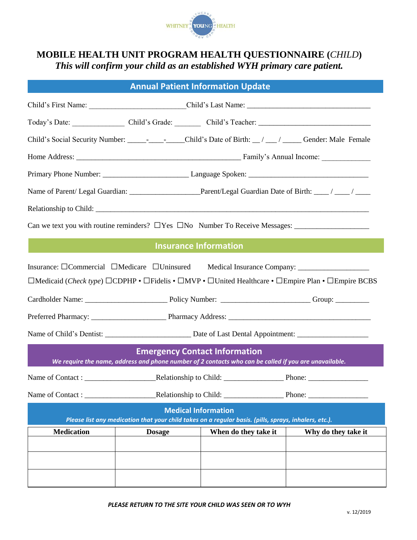

## **MOBILE HEALTH UNIT PROGRAM HEALTH QUESTIONNAIRE (***CHILD***)** *This will confirm your child as an established WYH primary care patient.*

| <b>Annual Patient Information Update</b>                                                                   |                                                                                                                                               |                      |                                                                                                    |  |  |
|------------------------------------------------------------------------------------------------------------|-----------------------------------------------------------------------------------------------------------------------------------------------|----------------------|----------------------------------------------------------------------------------------------------|--|--|
|                                                                                                            |                                                                                                                                               |                      |                                                                                                    |  |  |
|                                                                                                            |                                                                                                                                               |                      |                                                                                                    |  |  |
| Child's Social Security Number: _________________Child's Date of Birth: __/ ___/ _____ Gender: Male Female |                                                                                                                                               |                      |                                                                                                    |  |  |
|                                                                                                            |                                                                                                                                               |                      |                                                                                                    |  |  |
|                                                                                                            |                                                                                                                                               |                      |                                                                                                    |  |  |
|                                                                                                            |                                                                                                                                               |                      |                                                                                                    |  |  |
|                                                                                                            |                                                                                                                                               |                      |                                                                                                    |  |  |
|                                                                                                            |                                                                                                                                               |                      |                                                                                                    |  |  |
|                                                                                                            | <b>Insurance Information</b>                                                                                                                  |                      |                                                                                                    |  |  |
| Insurance: $\Box$ Commercial $\Box$ Medicare $\Box$ Uninsured Medical Insurance Company: ________________  |                                                                                                                                               |                      | □Medicaid (Check type) □CDPHP • □Fidelis • □MVP • □United Healthcare • □Empire Plan • □Empire BCBS |  |  |
|                                                                                                            |                                                                                                                                               |                      |                                                                                                    |  |  |
|                                                                                                            |                                                                                                                                               |                      |                                                                                                    |  |  |
|                                                                                                            | <b>Emergency Contact Information</b><br>We require the name, address and phone number of 2 contacts who can be called if you are unavailable. |                      |                                                                                                    |  |  |
|                                                                                                            |                                                                                                                                               |                      |                                                                                                    |  |  |
|                                                                                                            |                                                                                                                                               |                      |                                                                                                    |  |  |
|                                                                                                            | <b>Medical Information</b><br>Please list any medication that your child takes on a regular basis. (pills, sprays, inhalers, etc.).           |                      |                                                                                                    |  |  |
| <b>Medication</b>                                                                                          | <b>Dosage</b>                                                                                                                                 | When do they take it | Why do they take it                                                                                |  |  |
|                                                                                                            |                                                                                                                                               |                      |                                                                                                    |  |  |
|                                                                                                            |                                                                                                                                               |                      |                                                                                                    |  |  |
|                                                                                                            |                                                                                                                                               |                      |                                                                                                    |  |  |